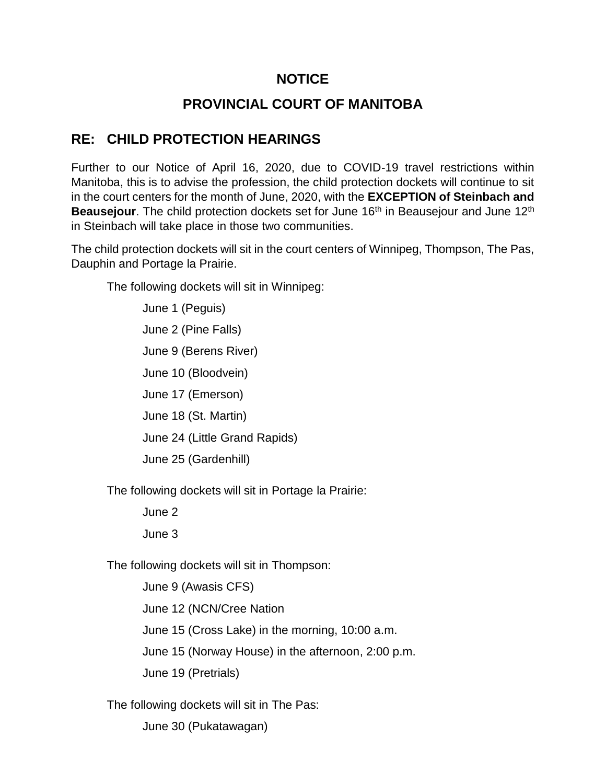## **NOTICE**

## **PROVINCIAL COURT OF MANITOBA**

## **RE: CHILD PROTECTION HEARINGS**

Further to our Notice of April 16, 2020, due to COVID-19 travel restrictions within Manitoba, this is to advise the profession, the child protection dockets will continue to sit in the court centers for the month of June, 2020, with the **EXCEPTION of Steinbach and Beausejour**. The child protection dockets set for June 16<sup>th</sup> in Beausejour and June 12<sup>th</sup> in Steinbach will take place in those two communities.

The child protection dockets will sit in the court centers of Winnipeg, Thompson, The Pas, Dauphin and Portage la Prairie.

The following dockets will sit in Winnipeg:

June 1 (Peguis) June 2 (Pine Falls) June 9 (Berens River) June 10 (Bloodvein) June 17 (Emerson) June 18 (St. Martin) June 24 (Little Grand Rapids) June 25 (Gardenhill)

The following dockets will sit in Portage la Prairie:

June 2

June 3

The following dockets will sit in Thompson:

June 9 (Awasis CFS) June 12 (NCN/Cree Nation June 15 (Cross Lake) in the morning, 10:00 a.m. June 15 (Norway House) in the afternoon, 2:00 p.m. June 19 (Pretrials)

The following dockets will sit in The Pas:

June 30 (Pukatawagan)